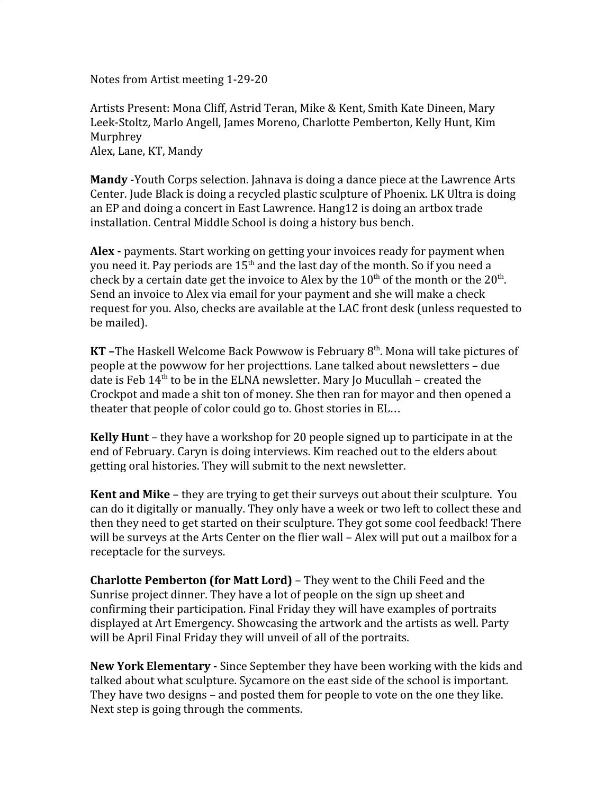Notes from Artist meeting 1-29-20

Artists Present: Mona Cliff, Astrid Teran, Mike & Kent, Smith Kate Dineen, Mary Leek-Stoltz, Marlo Angell, James Moreno, Charlotte Pemberton, Kelly Hunt, Kim Murphrey Alex, Lane, KT, Mandy

**Mandy** -Youth Corps selection. Jahnava is doing a dance piece at the Lawrence Arts Center. Jude Black is doing a recycled plastic sculpture of Phoenix. LK Ultra is doing an EP and doing a concert in East Lawrence. Hang12 is doing an artbox trade installation. Central Middle School is doing a history bus bench.

**Alex -** payments. Start working on getting your invoices ready for payment when you need it. Pay periods are  $15^{\rm th}$  and the last day of the month. So if you need a check by a certain date get the invoice to Alex by the  $10^{th}$  of the month or the  $20^{th}$ . Send an invoice to Alex via email for your payment and she will make a check request for you. Also, checks are available at the LAC front desk (unless requested to be mailed).

**KT** –The Haskell Welcome Back Powwow is February 8<sup>th</sup>. Mona will take pictures of people at the powwow for her projecttions. Lane talked about newsletters – due date is Feb 14<sup>th</sup> to be in the ELNA newsletter. Mary Jo Mucullah - created the Crockpot and made a shit ton of money. She then ran for mayor and then opened a theater that people of color could go to. Ghost stories in EL…

**Kelly Hunt** – they have a workshop for 20 people signed up to participate in at the end of February. Caryn is doing interviews. Kim reached out to the elders about getting oral histories. They will submit to the next newsletter.

**Kent and Mike** – they are trying to get their surveys out about their sculpture. You can do it digitally or manually. They only have a week or two left to collect these and then they need to get started on their sculpture. They got some cool feedback! There will be surveys at the Arts Center on the flier wall – Alex will put out a mailbox for a receptacle for the surveys.

**Charlotte Pemberton (for Matt Lord)** – They went to the Chili Feed and the Sunrise project dinner. They have a lot of people on the sign up sheet and confirming their participation. Final Friday they will have examples of portraits displayed at Art Emergency. Showcasing the artwork and the artists as well. Party will be April Final Friday they will unveil of all of the portraits.

**New York Elementary -** Since September they have been working with the kids and talked about what sculpture. Sycamore on the east side of the school is important. They have two designs – and posted them for people to vote on the one they like. Next step is going through the comments.